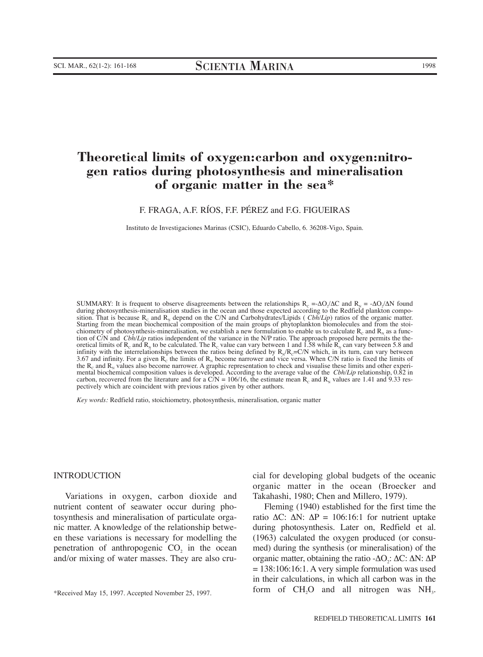# **Theoretical limits of oxygen:carbon and oxygen:nitrogen ratios during photosynthesis and mineralisation of organic matter in the sea\***

F. FRAGA, A.F. RÍOS, F.F. PÉREZ and F.G. FIGUEIRAS

Instituto de Investigaciones Marinas (CSIC), Eduardo Cabello, 6. 36208-Vigo, Spain.

SUMMARY: It is frequent to observe disagreements between the relationships  $R_c = \Delta O_2/\Delta C$  and  $R_N = -\Delta O_2/\Delta N$  found during photosynthesis-mineralisation studies in the ocean and those expected according to the Redfield plankton composition. That is because  $R_c$  and  $R_N$  depend on the C/N and Carbohydrates/Lipids (*Cbh/Lip*) ratios of the organic matter. Starting from the mean biochemical composition of the main groups of phytoplankton biomolecules and from the stoichiometry of photosynthesis-mineralisation, we establish a new formulation to enable us to calculate  $R_c$  and  $R_v$  as a function of C/N and *Cbh/Lip* ratios independent of the variance in the N/P ratio. The approach proposed here permits the theoretical limits of R<sub>c</sub> and R<sub>N</sub> to be calculated. The R<sub>c</sub> value can vary between 1 and 1.58 while R<sub>N</sub> can vary between 5.8 and infinity with the interrelationships between the ratios being defined by  $R_N/R_c=CN$  which, in its turn, can vary between 3.67 and infinity. For a given  $R_c$  the limits of  $R_N$  become narrower and vice versa. When C/N ratio is fixed the limits of the  $R_c$  and  $R_N$  values also become narrower. A graphic representation to check and visualise these limits and other experimental biochemical composition values is developed. According to the average value of the *Cbh/Lip* relationship, 0.82 in carbon, recovered from the literature and for a C/N = 106/16, the estimate mean  $R_c$  and  $R_N$  values are 1.41 and 9.33 respectively which are coincident with previous ratios given by other authors.

*Key words:* Redfield ratio, stoichiometry, photosynthesis, mineralisation, organic matter

#### INTRODUCTION

Variations in oxygen, carbon dioxide and nutrient content of seawater occur during photosynthesis and mineralisation of particulate organic matter. A knowledge of the relationship between these variations is necessary for modelling the penetration of anthropogenic  $CO<sub>2</sub>$  in the ocean and/or mixing of water masses. They are also crucial for developing global budgets of the oceanic organic matter in the ocean (Broecker and Takahashi, 1980; Chen and Millero, 1979).

Fleming (1940) established for the first time the ratio  $ΔC: ΔN: ΔP = 106:16:1$  for nutrient uptake during photosynthesis. Later on, Redfield et al. (1963) calculated the oxygen produced (or consumed) during the synthesis (or mineralisation) of the organic matter, obtaining the ratio -∆O<sub>2</sub>: ∆C: ∆N: ∆P  $= 138:106:16:1$ . A very simple formulation was used in their calculations, in which all carbon was in the form of  $CH<sub>2</sub>O$  and all nitrogen was  $NH<sub>3</sub>$ .

<sup>\*</sup>Received May 15, 1997. Accepted November 25, 1997.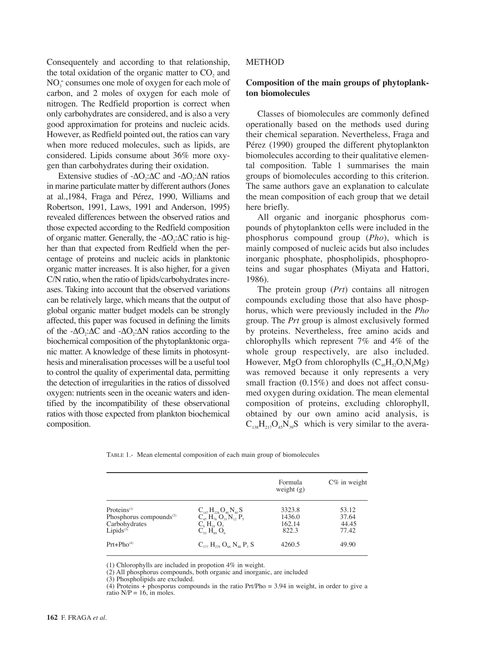Consequentely and according to that relationship, the total oxidation of the organic matter to  $CO<sub>2</sub>$  and NO<sub>3</sub> consumes one mole of oxygen for each mole of carbon, and 2 moles of oxygen for each mole of nitrogen. The Redfield proportion is correct when only carbohydrates are considered, and is also a very good approximation for proteins and nucleic acids. However, as Redfield pointed out, the ratios can vary when more reduced molecules, such as lipids, are considered. Lipids consume about 36% more oxygen than carbohydrates during their oxidation.

Extensive studies of - $\Delta$ O<sub>2</sub>: $\Delta$ C and - $\Delta$ O<sub>2</sub>: $\Delta$ N ratios in marine particulate matter by different authors (Jones at al.,1984, Fraga and Pérez, 1990, Williams and Robertson, 1991, Laws, 1991 and Anderson, 1995) revealed differences between the observed ratios and those expected according to the Redfield composition of organic matter. Generally, the -∆O<sub>2</sub>:∆C ratio is higher than that expected from Redfield when the percentage of proteins and nucleic acids in planktonic organic matter increases. It is also higher, for a given C/N ratio, when the ratio of lipids/carbohydrates increases. Taking into account that the observed variations can be relatively large, which means that the output of global organic matter budget models can be strongly affected, this paper was focused in defining the limits of the -∆O<sub>2</sub>:∆C and -∆O<sub>2</sub>:∆N ratios according to the biochemical composition of the phytoplanktonic organic matter. A knowledge of these limits in photosynthesis and mineralisation processes will be a useful tool to control the quality of experimental data, permitting the detection of irregularities in the ratios of dissolved oxygen: nutrients seen in the oceanic waters and identified by the incompatibility of these observational ratios with those expected from plankton biochemical composition.

## **METHOD**

# **Composition of the main groups of phytoplankton biomolecules**

Classes of biomolecules are commonly defined operationally based on the methods used during their chemical separation. Nevertheless, Fraga and Pérez (1990) grouped the different phytoplankton biomolecules according to their qualitative elemental composition. Table 1 summarises the main groups of biomolecules according to this criterion. The same authors gave an explanation to calculate the mean composition of each group that we detail here briefly.

All organic and inorganic phosphorus compounds of phytoplankton cells were included in the phosphorus compound group (*Pho*), which is mainly composed of nucleic acids but also includes inorganic phosphate, phospholipids, phosphoproteins and sugar phosphates (Miyata and Hattori, 1986).

The protein group (*Prt*) contains all nitrogen compounds excluding those that also have phosphorus, which were previously included in the *Pho* group. The *Prt* group is almost exclusively formed by proteins. Nevertheless, free amino acids and chlorophylls which represent 7% and 4% of the whole group respectively, are also included. However, MgO from chlorophylls  $(C_{46}H_{52}O_5N_4Mg)$ was removed because it only represents a very small fraction (0.15%) and does not affect consumed oxygen during oxidation. The mean elemental composition of proteins, excluding chlorophyll, obtained by our own amino acid analysis, is  $C_{138}H_{217}O_{45}N_{39}S$  which is very similar to the avera-

TABLE 1.- Mean elemental composition of each main group of biomolecules

|                                                                                                       |                                                                                                                                                                                     | Formula<br>weight $(g)$             | $C\%$ in weight                  |
|-------------------------------------------------------------------------------------------------------|-------------------------------------------------------------------------------------------------------------------------------------------------------------------------------------|-------------------------------------|----------------------------------|
| Proteins $(1)$<br>Phosphorus compounds <sup><math>(2)</math></sup><br>Carbohydrates<br>$Lipids^{(3)}$ | $C_{147}H_{228}O_{46}N_{40}S$<br>$C_{45} H_{76} O_{31} N_{12} P_5$<br>$C_6$ $H_{10}$ $O_5$<br>$C_{\scriptscriptstyle{52}}$ $H_{\scriptscriptstyle{80}}$ $O_{\scriptscriptstyle{6}}$ | 3323.8<br>1436.0<br>162.14<br>822.3 | 53.12<br>37.64<br>44.45<br>77.42 |
| $Prt + Pho(4)$                                                                                        | $C_{177} H_{279} O_{66} N_{48} P_3 S$                                                                                                                                               | 4260.5                              | 49.90                            |

(1) Chlorophylls are included in propotion 4% in weight.

(2) All phosphorus compounds, both organic and inorganic, are included

(3) Phospholipids are excluded.

(4) Proteins + phosporus compounds in the ratio Prt/Pho  $=$  3.94 in weight, in order to give a ratio  $N/P = 16$ , in moles.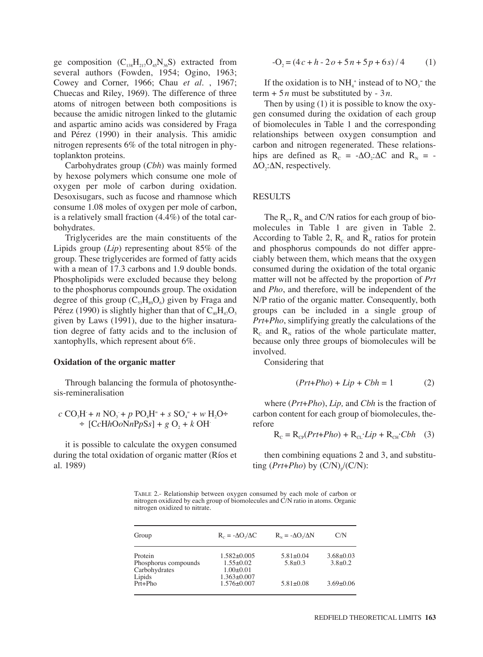ge composition  $(C_{138}H_{217}O_{45}N_{36}S)$  extracted from several authors (Fowden, 1954; Ogino, 1963; Cowey and Corner, 1966; Chau *et al.* , 1967; Chuecas and Riley, 1969). The difference of three atoms of nitrogen between both compositions is because the amidic nitrogen linked to the glutamic and aspartic amino acids was considered by Fraga and Pérez (1990) in their analysis. This amidic nitrogen represents 6% of the total nitrogen in phytoplankton proteins.

Carbohydrates group (*Cbh*) was mainly formed by hexose polymers which consume one mole of oxygen per mole of carbon during oxidation. Desoxisugars, such as fucose and rhamnose which consume 1.08 moles of oxygen per mole of carbon, is a relatively small fraction  $(4.4\%)$  of the total carbohydrates.

Triglycerides are the main constituents of the Lipids group (*Lip*) representing about 85% of the group. These triglycerides are formed of fatty acids with a mean of 17.3 carbons and 1.9 double bonds. Phospholipids were excluded because they belong to the phosphorus compounds group. The oxidation degree of this group  $(C_{s}H_{s0}O_{6})$  given by Fraga and Pérez (1990) is slightly higher than that of  $C_{40}H_{47}O_5$ given by Laws (1991), due to the higher insaturation degree of fatty acids and to the inclusion of xantophylls, which represent about 6%.

#### **Oxidation of the organic matter**

Through balancing the formula of photosynthesis-remineralisation

$$
c\ CO_3H + n\ NO_3 + p\ PO_4H^= + s\ SO_4^= + w\ H_2O \div [CcHhOoNnPpSs] + g\ O_2 + k\ OH
$$

it is possible to calculate the oxygen consumed during the total oxidation of organic matter (Ríos et al. 1989)

$$
-O2 = (4c + h - 2o + 5n + 5p + 6s)/4
$$
 (1)

If the oxidation is to  $NH<sub>4</sub><sup>+</sup>$  instead of to  $NO<sub>3</sub><sup>-</sup>$  the  $term + 5n$  must be substituted by - 3*n*.

Then by using (1) it is possible to know the oxygen consumed during the oxidation of each group of biomolecules in Table 1 and the corresponding relationships between oxygen consumption and carbon and nitrogen regenerated. These relationships are defined as  $R_c = -\Delta O_2$ : $\Delta C$  and  $R_N = ΔO<sub>2</sub>:ΔN$ , respectively.

## **RESULTS**

The  $R_c$ ,  $R_N$  and C/N ratios for each group of biomolecules in Table 1 are given in Table 2. According to Table 2,  $R_c$  and  $R<sub>N</sub>$  ratios for protein and phosphorus compounds do not differ appreciably between them, which means that the oxygen consumed during the oxidation of the total organic matter will not be affected by the proportion of *Prt* and *Pho*, and therefore, will be independent of the N/P ratio of the organic matter. Consequently, both groups can be included in a single group of *Prt*+*Pho*, simplifying greatly the calculations of the  $R_c$  and  $R_N$  ratios of the whole particulate matter, because only three groups of biomolecules will be involved.

Considering that

$$
(Prt + Pho) + Lip + Cbh = 1
$$
 (2)

where (*Prt*+*Pho*), *Lip,* and *Cbh* is the fraction of carbon content for each group of biomolecules, therefore

$$
R_{\rm c} = R_{\rm cp}(Prt + Pho) + R_{\rm ct}\cdot Lip + R_{\rm cr}\cdot Cbh \quad (3)
$$

then combining equations 2 and 3, and substituting  $(Prt+Pho)$  by  $(C/N)/(C/N)$ :

TABLE 2.- Relationship between oxygen consumed by each mole of carbon or nitrogen oxidized by each group of biomolecules and C/N ratio in atoms. Organic nitrogen oxidized to nitrate.

| Group                                            | $R_c = -\Delta O / \Delta C$                          | $R_{N} = -\Delta O_{N}/\Delta N$ | C/N                          |  |
|--------------------------------------------------|-------------------------------------------------------|----------------------------------|------------------------------|--|
| Protein<br>Phosphorus compounds<br>Carbohydrates | $1.582 + 0.005$<br>$1.55 \pm 0.02$<br>$1.00 \pm 0.01$ | $5.81 + 0.04$<br>$5.8 + 0.3$     | $3.68 + 0.03$<br>$3.8 + 0.2$ |  |
| Lipids<br>Prt+Pho                                | $1.363 \pm 0.007$<br>$1.576 \pm 0.007$                | $5.81 + 0.08$                    | $3.69 + 0.06$                |  |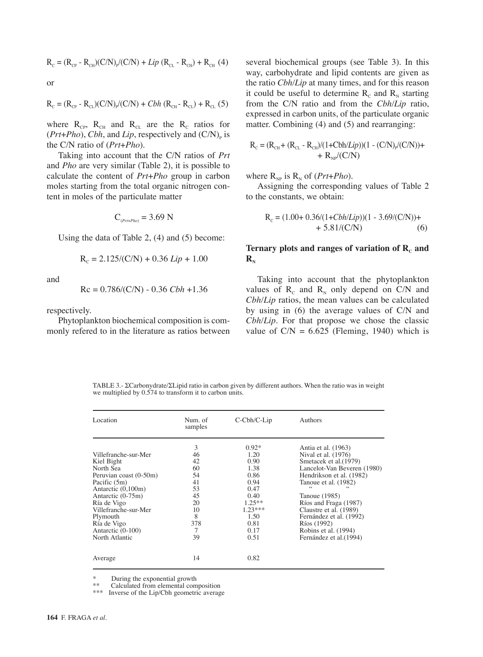$$
R_{\rm C} = (R_{\rm CP} - R_{\rm CH})(C/N)_{\rm P}/(C/N) + Lip (R_{\rm CL} - R_{\rm CH}) + R_{\rm CH} (4)
$$

or

$$
R_c = (R_{cp} - R_{cL})(C/N)_{p}/(C/N) + Cbh (R_{cn} - R_{cL}) + R_{cL} (5)
$$

where  $R_{CP}$ ,  $R_{CH}$  and  $R_{CL}$  are the  $R_{C}$  ratios for  $(Prt+Pho)$ , *Cbh*, and *Lip*, respectively and  $(C/N)$ <sub>p</sub> is the C/N ratio of (*Prt*+*Pho*).

Taking into account that the C/N ratios of *Prt* and *Pho* are very similar (Table 2), it is possible to calculate the content of *Prt*+*Pho* group in carbon moles starting from the total organic nitrogen content in moles of the particulate matter

$$
C_{(Prt+Pho)} = 3.69
$$
 N

Using the data of Table 2, (4) and (5) become:

$$
R_c = 2.125/(C/N) + 0.36 Lip + 1.00
$$

and

$$
Rc = 0.786/(C/N) - 0.36 Cbh + 1.36
$$

respectively.

Phytoplankton biochemical composition is commonly refered to in the literature as ratios between several biochemical groups (see Table 3). In this way, carbohydrate and lipid contents are given as the ratio *Cbh/Lip* at many times, and for this reason it could be useful to determine  $R_c$  and  $R_w$  starting from the C/N ratio and from the *Cbh/Lip* ratio, expressed in carbon units, of the particulate organic matter. Combining (4) and (5) and rearranging:

$$
R_{\rm c} = (R_{\rm CH} + (R_{\rm CL} - R_{\rm CH})/(1 + Cbh/Lip))(1 - (C/N)p/(C/N)) + R_{\rm NP}/(C/N)
$$

where  $R_{NP}$  is  $R_N$  of (*Prt*+*Pho*).

Assigning the corresponding values of Table 2 to the constants, we obtain:

$$
R_c = (1.00 + 0.36/(1 + Cbh/Lip))(1 - 3.69/(C/N)) + 5.81/(C/N)
$$
 (6)

# Ternary plots and ranges of variation of R<sub>c</sub> and  $\mathbf{R}_{\rm N}$

Taking into account that the phytoplankton values of  $R_c$  and  $R_N$  only depend on C/N and *Cbh/Lip* ratios, the mean values can be calculated by using in (6) the average values of C/N and *Cbh/Lip*. For that propose we chose the classic value of  $C/N = 6.625$  (Fleming, 1940) which is

TABLE 3.- ΣCarbonydrate/ΣLipid ratio in carbon given by different authors. When the ratio was in weight we multiplied by 0.574 to transform it to carbon units.

| Location                                                                                                                                                                                                                                      | Num. of<br>samples                                                             | C-Cbh/C-Lip                                                                                                               | Authors                                                                                                                                                                                                                                                                                                                  |
|-----------------------------------------------------------------------------------------------------------------------------------------------------------------------------------------------------------------------------------------------|--------------------------------------------------------------------------------|---------------------------------------------------------------------------------------------------------------------------|--------------------------------------------------------------------------------------------------------------------------------------------------------------------------------------------------------------------------------------------------------------------------------------------------------------------------|
| Villefranche-sur-Mer<br>Kiel Bight<br>North Sea<br>Peruvian coast (0-50m)<br>Pacific (5m)<br>Antarctic (0,100m)<br>Antarctic (0-75m)<br>Ría de Vigo<br>Villefranche-sur-Mer<br>Plymouth<br>Ría de Vigo<br>Antarctic (0-100)<br>North Atlantic | 3<br>46<br>42<br>60<br>54<br>41<br>53<br>45<br>20<br>10<br>8<br>378<br>7<br>39 | $0.92*$<br>1.20<br>0.90<br>1.38<br>0.86<br>0.94<br>0.47<br>0.40<br>$1.25***$<br>$1.23***$<br>1.50<br>0.81<br>0.17<br>0.51 | Antia et al. (1963)<br>Nival et al. (1976)<br>Smetacek et al. (1979)<br>Lancelot-Van Beveren (1980)<br>Hendrikson et al. (1982)<br>Tanoue et al. (1982)<br>Tanoue (1985)<br>Ríos and Fraga (1987)<br>Claustre et al. (1989)<br>Fernández et al. (1992)<br>Ríos (1992)<br>Robins et al. (1994)<br>Fernández et al. (1994) |
| Average                                                                                                                                                                                                                                       | 14                                                                             | 0.82                                                                                                                      |                                                                                                                                                                                                                                                                                                                          |

 $\overset{*}{\phantom{*}}$  During the exponential growth

\*\* Calculated from elemental composition<br>\*\*\* Inverse of the Lin/Chb geometric system

Inverse of the Lip/Cbh geometric average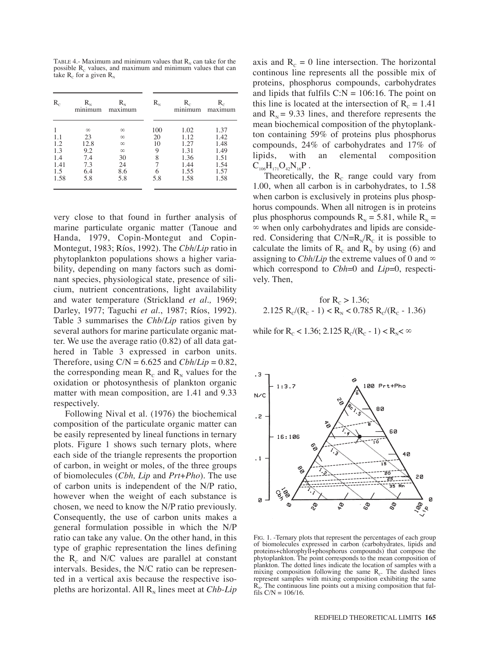TABLE 4.- Maximum and minimum values that  $R<sub>N</sub>$  can take for the possible  $R_c$  values, and maximum and minimum values that can take  $R_c$  for a given  $R_N$ 

| $R_c$      | $\rm R_{\scriptscriptstyle N}$<br>minimum | $\rm R_{\scriptscriptstyle N}$<br>maximum | $\rm R_{\scriptscriptstyle N}$ | $\rm R_{\scriptscriptstyle \rm \scriptscriptstyle C}$<br>minimum | $R_c$<br>maximum |
|------------|-------------------------------------------|-------------------------------------------|--------------------------------|------------------------------------------------------------------|------------------|
|            | $\infty$                                  | $\infty$                                  | 100                            | 1.02                                                             | 1.37             |
| 1.1<br>1.2 | 23<br>12.8                                | $\infty$<br>$\infty$                      | 20<br>10                       | 1.12<br>1.27                                                     | 1.42<br>1.48     |
| 1.3        | 9.2                                       | $\infty$                                  | 9                              | 1.31                                                             | 1.49             |
| 1.4        | 7.4                                       | 30                                        | 8                              | 1.36                                                             | 1.51             |
| 1.41       | 7.3                                       | 24                                        |                                | 1.44                                                             | 1.54             |
| 1.5        | 6.4                                       | 8.6                                       | 6                              | 1.55                                                             | 1.57             |
| 1.58       | 5.8                                       | 5.8                                       | 5.8                            | 1.58                                                             | 1.58             |

very close to that found in further analysis of marine particulate organic matter (Tanoue and Handa, 1979, Copin-Montegut and Copin-Montegut, 1983; Ríos, 1992). The *Cbh/Lip* ratio in phytoplankton populations shows a higher variability, depending on many factors such as dominant species, physiological state, presence of silicium, nutrient concentrations, light availability and water temperature (Strickland *et al.,* 1969; Darley, 1977; Taguchi *et al.*, 1987; Ríos, 1992). Table 3 summarises the *Chb/Lip* ratios given by several authors for marine particulate organic matter. We use the average ratio (0.82) of all data gathered in Table 3 expressed in carbon units. Therefore, using  $C/N = 6.625$  and  $Cbh/Lip = 0.82$ , the corresponding mean  $R_c$  and  $R_N$  values for the oxidation or photosynthesis of plankton organic matter with mean composition, are 1.41 and 9.33 respectively.

Following Nival et al. (1976) the biochemical composition of the particulate organic matter can be easily represented by lineal functions in ternary plots. Figure 1 shows such ternary plots, where each side of the triangle represents the proportion of carbon, in weight or moles, of the three groups of biomolecules (*Cbh, Lip* and *Prt*+*Pho*). The use of carbon units is independent of the N/P ratio, however when the weight of each substance is chosen, we need to know the N/P ratio previously. Consequently, the use of carbon units makes a general formulation possible in which the N/P ratio can take any value. On the other hand, in this type of graphic representation the lines defining the  $R_c$  and N/C values are parallel at constant intervals. Besides, the N/C ratio can be represented in a vertical axis because the respective isopleths are horizontal. All  $R_N$  lines meet at *Chb-Lip* 

axis and  $R_c = 0$  line intersection. The horizontal continous line represents all the possible mix of proteins, phosphorus compounds, carbohydrates and lipids that fulfils  $C:N = 106:16$ . The point on this line is located at the intersection of  $R_c = 1.41$ and  $R_{N}$  = 9.33 lines, and therefore represents the mean biochemical composition of the phytoplankton containing 59% of proteins plus phosphorus compounds, 24% of carbohydrates and 17% of lipids, with an elemental composition  $C_{106}H_{171}O_{42}N_{16}P$ .

Theoretically, the  $R_c$  range could vary from 1.00, when all carbon is in carbohydrates, to 1.58 when carbon is exclusively in proteins plus phosphorus compounds. When all nitrogen is in proteins plus phosphorus compounds  $R_N = 5.81$ , while  $R_N =$ ∞ when only carbohydrates and lipids are considered. Considering that  $C/N=R_N/R_c$  it is possible to calculate the limits of  $R_c$  and  $R_N$  by using (6) and assigning to *Cbh/Lip* the extreme values of 0 and  $\infty$ which correspond to *Cbh*=0 and *Lip*=0, respectively. Then,

$$
\begin{aligned} \text{for } & R_{\text{c}} > 1.36;\\ 2.125 \, \text{R}_{\text{c}}/(\text{R}_{\text{c}} - 1) < \text{R}_{\text{N}} < 0.785 \, \text{R}_{\text{c}}/(\text{R}_{\text{c}} - 1.36) \end{aligned}
$$

while for R<sub>c</sub> < 1.36; 2.125 R<sub>c</sub>/(R<sub>c</sub> - 1) < R<sub>N</sub><  $\infty$ 



FIG. 1. -Ternary plots that represent the percentages of each group of biomolecules expressed in carbon (carbohydrates, lipids and proteins+chlorophyll+phosphorus compounds) that compose the phytoplankton. The point corresponds to the mean composition of plankton. The dotted lines indicate the location of samples with a mixing composition following the same  $R_c$ . The dashed lines represent samples with mixing composition exhibiting the same  $R_N$ . The continuous line points out a mixing composition that fulfils  $C/N = 106/16$ .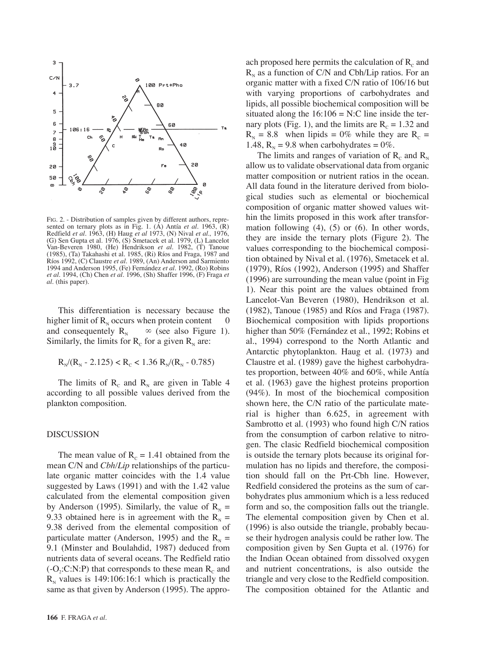

FIG. 2. - Distribution of samples given by different authors, represented on ternary plots as in Fig. 1. (A) Antía *et al.* 1963, (R) Redfield *et al.* 1963, (H) Haug *et al* 1973, (N) Nival *et al.,* 1976, (G) Sen Gupta et al. 1976, (S) Smetacek et al. 1979, (L) Lancelot Van-Beveren 1980, (He) Hendrikson *et al.* 1982, (T) Tanoue (1985), (Ta) Takahashi et al. 1985, (Ri) Ríos and Fraga, 1987 and Ríos 1992, (C) Claustre *et al.* 1989, (An) Anderson and Sarmiento 1994 and Anderson 1995, (Fe) Fernández *et al.* 1992, (Ro) Robins *et al.* 1994, (Ch) Chen *et al.* 1996, (Sh) Shaffer 1996, (F) Fraga *et al.* (this paper).

This differentiation is necessary because the higher limit of  $R_N$  occurs when protein content  $\qquad 0$ and consequentely  $R_N \quad \infty$  (see also Figure 1). Similarly, the limits for  $R_c$  for a given  $R_N$  are:

$$
R_{N}/(R_{N} - 2.125) < R_{C} < 1.36 \ R_{N}/(R_{N} - 0.785)
$$

The limits of  $R_c$  and  $R_N$  are given in Table 4 according to all possible values derived from the plankton composition.

## DISCUSSION

The mean value of  $R_c = 1.41$  obtained from the mean C/N and *Cbh/Lip* relationships of the particulate organic matter coincides with the 1.4 value suggested by Laws (1991) and with the 1.42 value calculated from the elemental composition given by Anderson (1995). Similarly, the value of  $R<sub>N</sub>$  = 9.33 obtained here is in agreement with the  $R<sub>N</sub>$  = 9.38 derived from the elemental composition of particulate matter (Anderson, 1995) and the  $R<sub>N</sub>$  = 9.1 (Minster and Boulahdid, 1987) deduced from nutrients data of several oceans. The Redfield ratio  $(-O_2:C:N:P)$  that corresponds to these mean  $R_c$  and  $R_N$  values is 149:106:16:1 which is practically the same as that given by Anderson (1995). The appro-

ach proposed here permits the calculation of  $R_c$  and  $R_N$  as a function of C/N and Cbh/Lip ratios. For an organic matter with a fixed C/N ratio of 106/16 but with varying proportions of carbohydrates and lipids, all possible biochemical composition will be situated along the  $16:106 = N:C$  line inside the ternary plots (Fig. 1), and the limits are  $R_c = 1.32$  and  $R_{N} = 8.8$  when lipids = 0% while they are  $R_{C} =$ 1.48,  $R_{N} = 9.8$  when carbohydrates = 0%.

The limits and ranges of variation of  $R_c$  and  $R_N$ allow us to validate observational data from organic matter composition or nutrient ratios in the ocean. All data found in the literature derived from biological studies such as elemental or biochemical composition of organic matter showed values within the limits proposed in this work after transformation following (4), (5) or (6). In other words, they are inside the ternary plots (Figure 2). The values corresponding to the biochemical composition obtained by Nival et al. (1976), Smetacek et al. (1979), Ríos (1992), Anderson (1995) and Shaffer (1996) are surrounding the mean value (point in Fig 1). Near this point are the values obtained from Lancelot-Van Beveren (1980), Hendrikson et al. (1982), Tanoue (1985) and Ríos and Fraga (1987). Biochemical composition with lipids proportions higher than 50% (Fernández et al., 1992; Robins et al., 1994) correspond to the North Atlantic and Antarctic phytoplankton. Haug et al. (1973) and Claustre et al. (1989) gave the highest carbohydrates proportion, between 40% and 60%, while Antía et al. (1963) gave the highest proteins proportion (94%). In most of the biochemical composition shown here, the C/N ratio of the particulate material is higher than 6.625, in agreement with Sambrotto et al. (1993) who found high C/N ratios from the consumption of carbon relative to nitrogen. The clasic Redfield biochemical composition is outside the ternary plots because its original formulation has no lipids and therefore, the composition should fall on the Prt-Cbh line. However, Redfield considered the proteins as the sum of carbohydrates plus ammonium which is a less reduced form and so, the composition falls out the triangle. The elemental composition given by Chen et al. (1996) is also outside the triangle, probably because their hydrogen analysis could be rather low. The composition given by Sen Gupta et al. (1976) for the Indian Ocean obtained from dissolved oxygen and nutrient concentrations, is also outside the triangle and very close to the Redfield composition. The composition obtained for the Atlantic and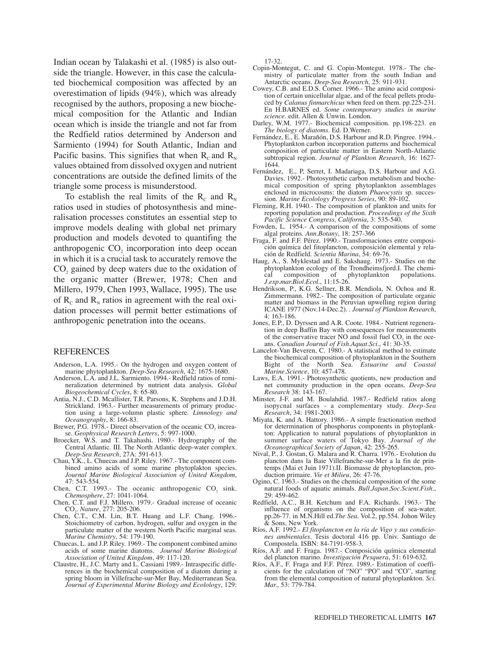Indian ocean by Talakashi et al. (1985) is also outside the triangle. However, in this case the calculated biochemical composition was affected by an overestimation of lipids (94%), which was already recognised by the authors, proposing a new biochemical composition for the Atlantic and Indian ocean which is inside the triangle and not far from the Redfield ratios determined by Anderson and Sarmiento (1994) for South Atlantic, Indian and Pacific basins. This signifies that when  $R_c$  and  $R_v$ values obtained from dissolved oxygen and nutrient concentrations are outside the defined limits of the triangle some process is misunderstood.

To establish the real limits of the  $R_c$  and  $R_w$ ratios used in studies of photosynthesis and mineralisation processes constitutes an essential step to improve models dealing with global net primary production and models devoted to quantifing the anthropogenic CO<sub>2</sub> incorporation into deep ocean in which it is a crucial task to accurately remove the CO<sub>2</sub> gained by deep waters due to the oxidation of the organic matter (Brewer, 1978; Chen and Millero, 1979, Chen 1993, Wallace, 1995). The use of  $R_c$  and  $R_N$  ratios in agreement with the real oxidation processes will permit better estimations of anthropogenic penetration into the oceans.

#### REFERENCES

- Anderson, L.A. 1995.- On the hydrogen and oxygen content of marine phytoplankton. *Deep-Sea Research*, 42: 1675-1680.
- Anderson, L.A. and J.L. Sarmiento. 1994.- Redfield ratios of remineralization determined by nutrient data analysis. *Global Biogeochemical Cycles*, 8: 65-80.
- Antia, N.J., C.D. Mcallister, T.R. Parsons, K. Stephens and J.D.H. Strickland. 1963.- Further measurements of primary production using a large-volumn plastic sphere. *Limnology and Oceanography*, 8: 166-83.
- Brewer, P.G. 1978.- Direct observation of the oceanic  $CO<sub>2</sub>$  increase. *Geophysical Research Letters*, 5: 997-1000.
- Broecker, W.S. and T. Takahashi. 1980.- Hydrography of the Central Atlantic. III. The North Atlantic deep-water complex. *Deep-Sea Research*, 27A: 591-613.
- Chau, Y.K., L. Chuecas and J.P. Riley. 1967.- The component combined amino acids of some marine phytoplakton species. *Journal Marine Biological Association of United Kingdom*, 47: 543-554.
- Chen, C.T. 1993.- The oceanic anthropogenic  $CO<sub>2</sub>$  sink. *Chemosphere*, 27: 1041-1064.
- Chen, C.T. and F.J. Millero. 1979.- Gradual increase of oceanic CO2. *Nature*, 277: 205-206.
- Chen, C.T., C.M. Lin, B.T. Huang and L.F. Chang. 1996.- Stoichiometry of carbon, hydrogen, sulfur and oxygen in the particulate matter of the western North Pacific marginal seas. *Marine Chemistry*, 54: 179-190.
- Chuecas, L. and J.P. Riley. 1969.- The component combined amino acids of some marine diatoms. *Journal Marine Biological Association of United Kingdom*, 49: 117-120.
- Claustre, H., J.C. Marty and L. Cassiani 1989.- Intraspecific differences in the biochemical composition of a diatom during a spring bloom in Villefrache-sur-Mer Bay, Mediterranean Sea. *Journal of Experimental Marine Biology and Ecolology*, 129:

17-32.

- Copin-Montegut, C. and G. Copin-Montegut. 1978.- The chemistry of particulate matter from the south Indian and Antarctic oceans. *Deep-Sea Research*, 25: 911-931.
- Cowey, C.B. and E.D.S. Corner. 1966.- The amino acid composition of certain unicellular algae, and of the fecal pellets produced by *Calanus finmarchicus* when feed on them. pp.225-231. En H.BARNES ed. *Some contemporary studies in marine science.* edit. Allen & Unwin. London.
- Darley, W.M. 1977.- Biochemical composition. pp.198-223. en *The biology of diatoms.* Ed. D.Werner.
- Fernández, E., E. Marañón, D.S. Harbour and R.D. Pingree. 1994.- Phytoplankton carbon incorporation patterns and biochemical composition of particulate matter in Eastern North-Atlantic subtropical region. *Journal of Plankton Research*, 16: 1627- 1644.
- Fernández, E., P, Serret, I. Madariaga, D.S. Harbour and A.G. Davies. 1992.- Photosynthetic carbon metabolism and biochemical composition of spring phytoplankton assemblages enclosed in microcosms: the diatom *Phaeocystis* sp. succession. *Marine Ecolology Progress Series*, 90: 89-102.
- Fleming, R.H. 1940.- The composition of plankton and units for reporting population and production. *Proceedings of the Sixth Pacific Science Congress, California*, 3: 535-540.
- Fowden, L. 1954.- A comparison of the compositions of some algal proteins. *Ann.Botany*, 18: 257-366
- Fraga, F. and F.F. Pérez. 1990.- Transformaciones entre composición química del fitoplancton, composición elemental y relación de Redfield. *Scientia Marina*, 54: 69-76.
- Haug, A., S. Myklestad and E. Sakshaug. 1973.- Studies on the phytoplankton ecology of the Trondheimsfjord.I. The chemical composition of phytoplankton populations. *J.exp.mar.Biol.Ecol.*, 11:15-26.
- Hendrikson, P., K.G. Sellner, B.R. Mendiola, N. Ochoa and R. Zimmermann. 1982.- The composition of particulate organic matter and biomass in the Peruvian upwelling region during ICANE 1977 (Nov.14-Dec.2). . *Journal of Plankton Research*, 4: 163-186.
- Jones, E.P., D. Dyrssen and A.R. Coote. 1984.- Nutrient regeneration in deep Baffin Bay with consequences for measurements of the conservative tracer NO and fossil fuel CO<sub>2</sub> in the oceans. *Canadian Journal of Fish.Aquat.Sci.*, 41: 30-35.
- Lancelot-Van Beveren, C. 1980.- A statistical method to estimate the biochemical composition of phytoplankton in the Southern Bight of the North Sea. *Estuarine and Coastal Marine.Science*, 10: 457-478.
- Laws, E.A. 1991.- Photosynthetic quotients, new production and net community production in the open oceans. *Deep-Sea Research* 38: 143-167.
- Minster, J-F. and M. Boulahdid. 1987.- Redfield ratios along isopycnal surfaces - a complementary study. *Deep-Sea Research*, 34: 1981-2003.
- Miyata, K. and A. Hattory. 1986.- A simple fractionation method for determination of phosphorus components in phytoplankton: Application to natural populations of phytoplankton in summer surface waters of Tokyo Bay. *Journal of the Oceanographical Society of Japan*, 42: 255-265.
- Nival, P., J. Gostan, G. Malara and R. Charra. 1976.- Evolution du plancton dans la Baie Villefranche-sur-Mer a la fin de printemps (Mai et Juin 1971).II. Biomasse de phytoplancton, production primaire. *Vie et Milieu*, 26: 47-76.
- Ogino, C. 1963.- Studies on the chemical composition of the some natural foods of aquatic animals. *Bull.Japan.Soc.Scient.Fish.*, 29: 459-462.
- Redfield, A.C., B.H. Ketchum and F.A. Richards. 1963.- The influence of organisms on the composition of sea-water. pp.26-77. in M.N.Hill ed.*The Sea*. Vol.2, pp.554. Johon Wiley & Sons, New York.
- Ríos, A.F. 1992.- *El fitoplancton en la ría de Vigo y sus condiciones ambientales*. Tesis doctoral 416 pp. Univ. Santiago de Compostela. ISBN: 84-7191-958-3.
- Ríos, A.F. and F. Fraga. 1987.- Composición química elemental del plancton marino. *Investigación Pesquera*, 51: 619-632.
- Ríos, A.F., F. Fraga and F.F. Pérez. 1989.- Estimation of coefficients for the calculation of "NO" "PO" and "CO", starting from the elemental composition of natural phytoplankton. *Sci. Mar.*, 53: 779-784.